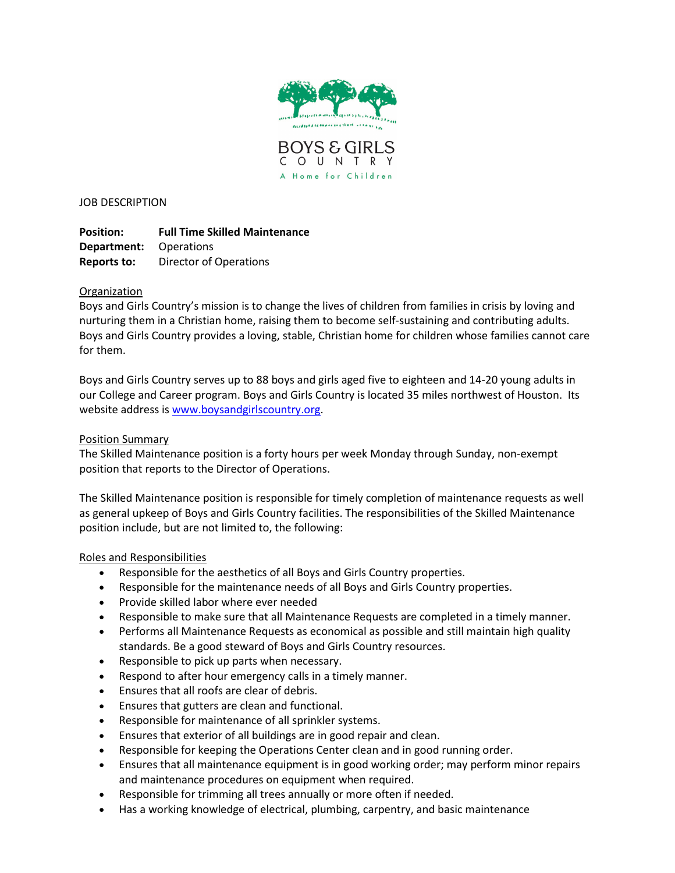



JOB DESCRIPTION

**Position: Full Time Skilled Maintenance Department:** Operations **Reports to:** Director of Operations

# **Organization**

Boys and Girls Country's mission is to change the lives of children from families in crisis by loving and nurturing them in a Christian home, raising them to become self-sustaining and contributing adults. Boys and Girls Country provides a loving, stable, Christian home for children whose families cannot care for them.

Boys and Girls Country serves up to 88 boys and girls aged five to eighteen and 14-20 young adults in our College and Career program. Boys and Girls Country is located 35 miles northwest of Houston. Its website address is [www.boysandgirlscountry.org.](http://www.boysandgirlscountry.org/)

### Position Summary

The Skilled Maintenance position is a forty hours per week Monday through Sunday, non-exempt position that reports to the Director of Operations.

The Skilled Maintenance position is responsible for timely completion of maintenance requests as well as general upkeep of Boys and Girls Country facilities. The responsibilities of the Skilled Maintenance position include, but are not limited to, the following:

#### Roles and Responsibilities

- Responsible for the aesthetics of all Boys and Girls Country properties.
- Responsible for the maintenance needs of all Boys and Girls Country properties.
- Provide skilled labor where ever needed
- Responsible to make sure that all Maintenance Requests are completed in a timely manner.
- Performs all Maintenance Requests as economical as possible and still maintain high quality standards. Be a good steward of Boys and Girls Country resources.
- Responsible to pick up parts when necessary.
- Respond to after hour emergency calls in a timely manner.
- Ensures that all roofs are clear of debris.
- Ensures that gutters are clean and functional.
- Responsible for maintenance of all sprinkler systems.
- Ensures that exterior of all buildings are in good repair and clean.
- Responsible for keeping the Operations Center clean and in good running order.
- Ensures that all maintenance equipment is in good working order; may perform minor repairs and maintenance procedures on equipment when required.
- Responsible for trimming all trees annually or more often if needed.
- Has a working knowledge of electrical, plumbing, carpentry, and basic maintenance